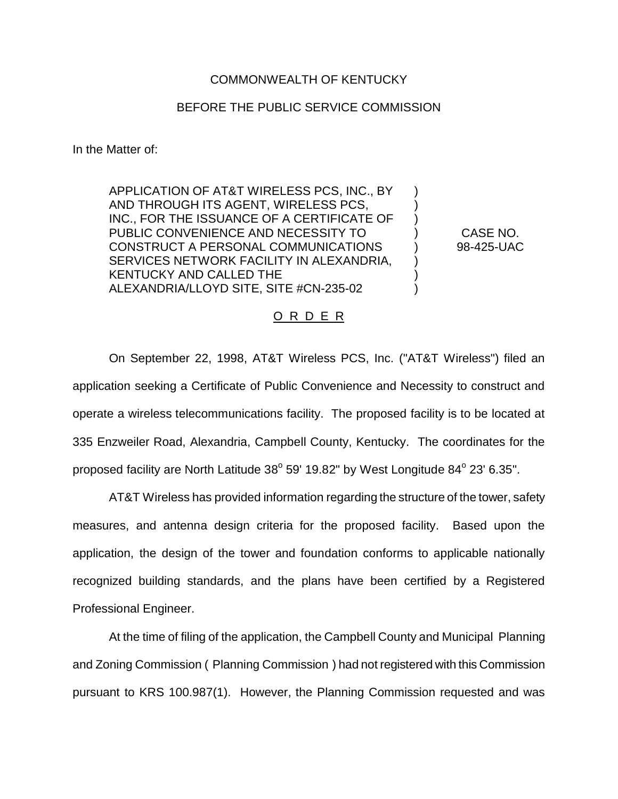## COMMONWEALTH OF KENTUCKY

## BEFORE THE PUBLIC SERVICE COMMISSION

In the Matter of:

APPLICATION OF AT&T WIRELESS PCS, INC., BY AND THROUGH ITS AGENT, WIRELESS PCS, INC., FOR THE ISSUANCE OF A CERTIFICATE OF PUBLIC CONVENIENCE AND NECESSITY TO CONSTRUCT A PERSONAL COMMUNICATIONS SERVICES NETWORK FACILITY IN ALEXANDRIA, KENTUCKY AND CALLED THE ALEXANDRIA/LLOYD SITE, SITE #CN-235-02

CASE NO. 98-425-UAC

) ) ) ) ) ) ) )

## O R D E R

On September 22, 1998, AT&T Wireless PCS, Inc. ("AT&T Wireless") filed an application seeking a Certificate of Public Convenience and Necessity to construct and operate a wireless telecommunications facility. The proposed facility is to be located at 335 Enzweiler Road, Alexandria, Campbell County, Kentucky. The coordinates for the proposed facility are North Latitude  $38^{\circ}$  59' 19.82" by West Longitude  $84^{\circ}$  23' 6.35".

AT&T Wireless has provided information regarding the structure of the tower, safety measures, and antenna design criteria for the proposed facility. Based upon the application, the design of the tower and foundation conforms to applicable nationally recognized building standards, and the plans have been certified by a Registered Professional Engineer.

At the time of filing of the application, the Campbell County and Municipal Planning and Zoning Commission ( Planning Commission ) had not registered with this Commission pursuant to KRS 100.987(1). However, the Planning Commission requested and was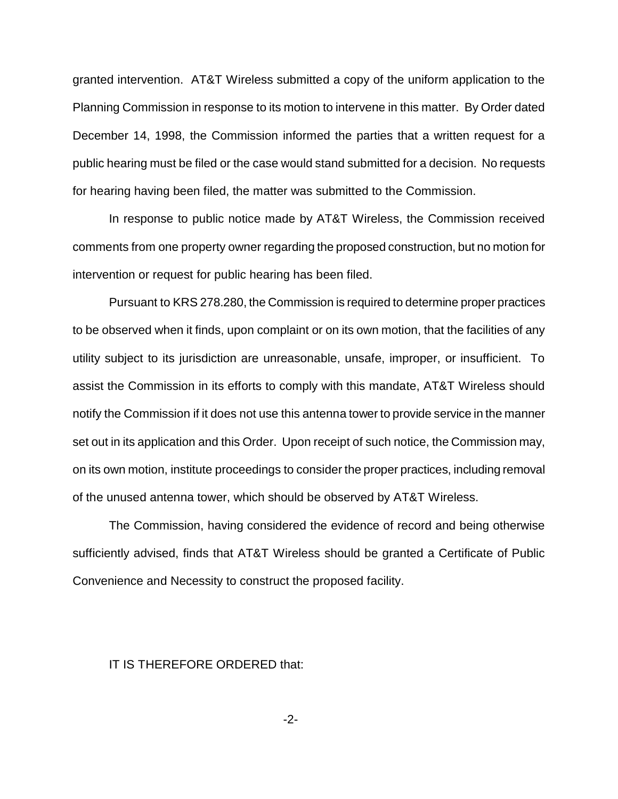granted intervention. AT&T Wireless submitted a copy of the uniform application to the Planning Commission in response to its motion to intervene in this matter. By Order dated December 14, 1998, the Commission informed the parties that a written request for a public hearing must be filed or the case would stand submitted for a decision. No requests for hearing having been filed, the matter was submitted to the Commission.

In response to public notice made by AT&T Wireless, the Commission received comments from one property owner regarding the proposed construction, but no motion for intervention or request for public hearing has been filed.

Pursuant to KRS 278.280, the Commission is required to determine proper practices to be observed when it finds, upon complaint or on its own motion, that the facilities of any utility subject to its jurisdiction are unreasonable, unsafe, improper, or insufficient. To assist the Commission in its efforts to comply with this mandate, AT&T Wireless should notify the Commission if it does not use this antenna tower to provide service in the manner set out in its application and this Order. Upon receipt of such notice, the Commission may, on its own motion, institute proceedings to consider the proper practices, including removal of the unused antenna tower, which should be observed by AT&T Wireless.

The Commission, having considered the evidence of record and being otherwise sufficiently advised, finds that AT&T Wireless should be granted a Certificate of Public Convenience and Necessity to construct the proposed facility.

## IT IS THEREFORE ORDERED that: